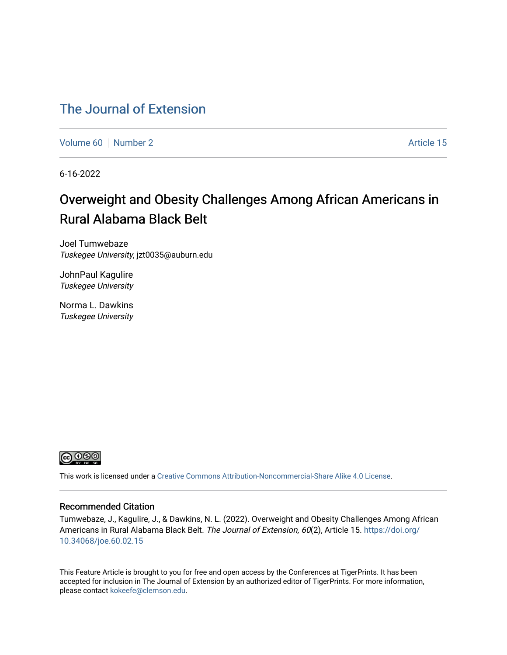## [The Journal of Extension](https://tigerprints.clemson.edu/joe)

[Volume 60](https://tigerprints.clemson.edu/joe/vol60) [Number 2](https://tigerprints.clemson.edu/joe/vol60/iss2) Article 15

6-16-2022

# Overweight and Obesity Challenges Among African Americans in Rural Alabama Black Belt

Joel Tumwebaze Tuskegee University, jzt0035@auburn.edu

JohnPaul Kagulire Tuskegee University

Norma L. Dawkins Tuskegee University



This work is licensed under a [Creative Commons Attribution-Noncommercial-Share Alike 4.0 License.](https://creativecommons.org/licenses/by-nc-sa/4.0/)

### Recommended Citation

Tumwebaze, J., Kagulire, J., & Dawkins, N. L. (2022). Overweight and Obesity Challenges Among African Americans in Rural Alabama Black Belt. The Journal of Extension, 60(2), Article 15. [https://doi.org/](https://doi.org/10.34068/joe.60.02.15) [10.34068/joe.60.02.15](https://doi.org/10.34068/joe.60.02.15) 

This Feature Article is brought to you for free and open access by the Conferences at TigerPrints. It has been accepted for inclusion in The Journal of Extension by an authorized editor of TigerPrints. For more information, please contact [kokeefe@clemson.edu](mailto:kokeefe@clemson.edu).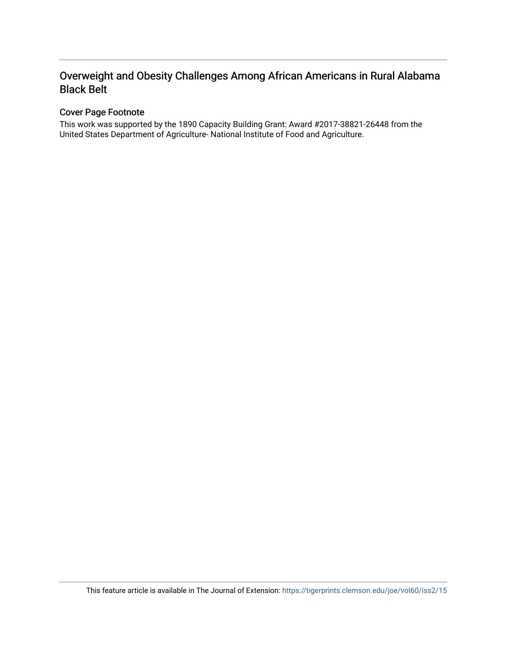### Cover Page Footnote

This work was supported by the 1890 Capacity Building Grant: Award #2017-38821-26448 from the United States Department of Agriculture- National Institute of Food and Agriculture.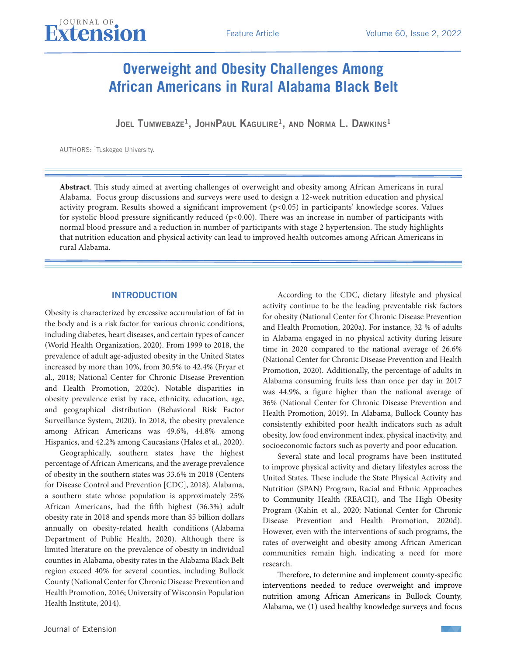JOEL TUMWEBAZE<sup>1</sup>, JOHNPAUL KAGULIRE<sup>1</sup>, AND NORMA L. DAWKINS<sup>1</sup>

AUTHORS: 1Tuskegee University.

**Abstract**. This study aimed at averting challenges of overweight and obesity among African Americans in rural Alabama. Focus group discussions and surveys were used to design a 12-week nutrition education and physical activity program. Results showed a significant improvement (p<0.05) in participants' knowledge scores. Values for systolic blood pressure significantly reduced (p<0.00). There was an increase in number of participants with normal blood pressure and a reduction in number of participants with stage 2 hypertension. The study highlights that nutrition education and physical activity can lead to improved health outcomes among African Americans in rural Alabama.

### INTRODUCTION

Obesity is characterized by excessive accumulation of fat in the body and is a risk factor for various chronic conditions, including diabetes, heart diseases, and certain types of cancer (World Health Organization, 2020). From 1999 to 2018, the prevalence of adult age-adjusted obesity in the United States increased by more than 10%, from 30.5% to 42.4% (Fryar et al., 2018; National Center for Chronic Disease Prevention and Health Promotion, 2020c). Notable disparities in obesity prevalence exist by race, ethnicity, education, age, and geographical distribution (Behavioral Risk Factor Surveillance System, 2020). In 2018, the obesity prevalence among African Americans was 49.6%, 44.8% among Hispanics, and 42.2% among Caucasians (Hales et al., 2020).

Geographically, southern states have the highest percentage of African Americans, and the average prevalence of obesity in the southern states was 33.6% in 2018 (Centers for Disease Control and Prevention [CDC], 2018). Alabama, a southern state whose population is approximately 25% African Americans, had the fifth highest (36.3%) adult obesity rate in 2018 and spends more than \$5 billion dollars annually on obesity-related health conditions (Alabama Department of Public Health, 2020). Although there is limited literature on the prevalence of obesity in individual counties in Alabama, obesity rates in the Alabama Black Belt region exceed 40% for several counties, including Bullock County (National Center for Chronic Disease Prevention and Health Promotion, 2016; University of Wisconsin Population Health Institute, 2014).

According to the CDC, dietary lifestyle and physical activity continue to be the leading preventable risk factors for obesity (National Center for Chronic Disease Prevention and Health Promotion, 2020a). For instance, 32 % of adults in Alabama engaged in no physical activity during leisure time in 2020 compared to the national average of 26.6% (National Center for Chronic Disease Prevention and Health Promotion, 2020). Additionally, the percentage of adults in Alabama consuming fruits less than once per day in 2017 was 44.9%, a figure higher than the national average of 36% (National Center for Chronic Disease Prevention and Health Promotion, 2019). In Alabama, Bullock County has consistently exhibited poor health indicators such as adult obesity, low food environment index, physical inactivity, and socioeconomic factors such as poverty and poor education.

Several state and local programs have been instituted to improve physical activity and dietary lifestyles across the United States. These include the State Physical Activity and Nutrition (SPAN) Program, Racial and Ethnic Approaches to Community Health (REACH), and The High Obesity Program (Kahin et al., 2020; National Center for Chronic Disease Prevention and Health Promotion, 2020d). However, even with the interventions of such programs, the rates of overweight and obesity among African American communities remain high, indicating a need for more research.

Therefore, to determine and implement county-specific interventions needed to reduce overweight and improve nutrition among African Americans in Bullock County, Alabama, we (1) used healthy knowledge surveys and focus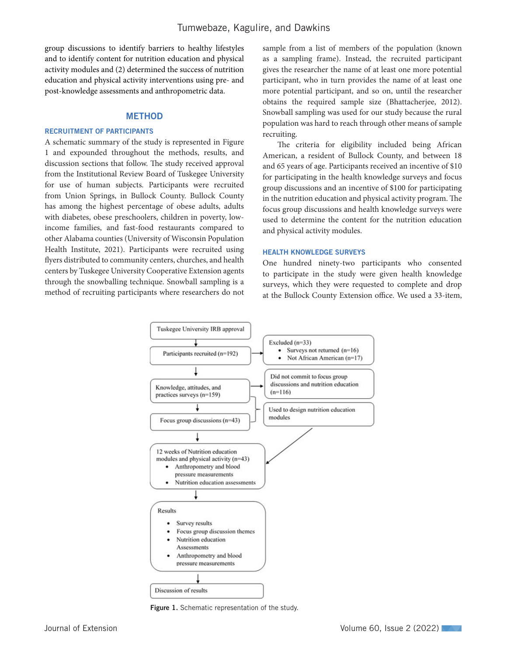group discussions to identify barriers to healthy lifestyles and to identify content for nutrition education and physical activity modules and (2) determined the success of nutrition education and physical activity interventions using pre- and post-knowledge assessments and anthropometric data.

### METHOD

### RECRUITMENT OF PARTICIPANTS

A schematic summary of the study is represented in Figure 1 and expounded throughout the methods, results, and discussion sections that follow. The study received approval from the Institutional Review Board of Tuskegee University for use of human subjects. Participants were recruited from Union Springs, in Bullock County. Bullock County has among the highest percentage of obese adults, adults with diabetes, obese preschoolers, children in poverty, lowincome families, and fast-food restaurants compared to other Alabama counties (University of Wisconsin Population Health Institute, 2021). Participants were recruited using flyers distributed to community centers, churches, and health centers by Tuskegee University Cooperative Extension agents through the snowballing technique. Snowball sampling is a method of recruiting participants where researchers do not

sample from a list of members of the population (known as a sampling frame). Instead, the recruited participant gives the researcher the name of at least one more potential participant, who in turn provides the name of at least one more potential participant, and so on, until the researcher obtains the required sample size (Bhattacherjee, 2012). Snowball sampling was used for our study because the rural population was hard to reach through other means of sample recruiting.

The criteria for eligibility included being African American, a resident of Bullock County, and between 18 and 65 years of age. Participants received an incentive of \$10 for participating in the health knowledge surveys and focus group discussions and an incentive of \$100 for participating in the nutrition education and physical activity program. The focus group discussions and health knowledge surveys were used to determine the content for the nutrition education and physical activity modules.

### HEALTH KNOWLEDGE SURVEYS

One hundred ninety-two participants who consented to participate in the study were given health knowledge surveys, which they were requested to complete and drop at the Bullock County Extension office. We used a 33-item,



Figure 1. Schematic representation of the study.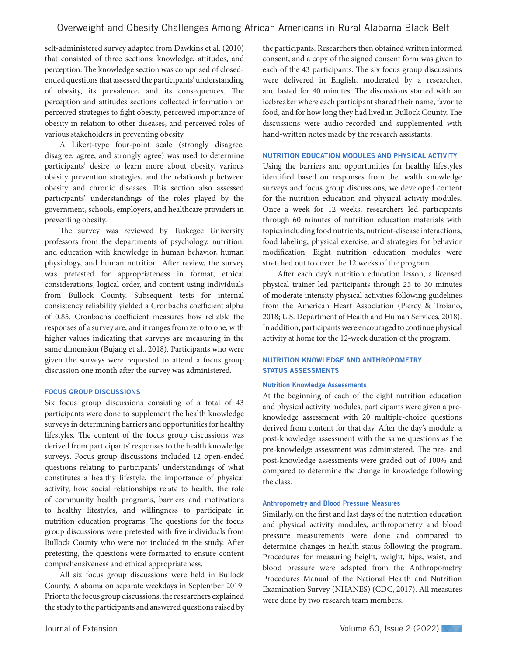self-administered survey adapted from Dawkins et al. (2010) that consisted of three sections: knowledge, attitudes, and perception. The knowledge section was comprised of closedended questions that assessed the participants' understanding of obesity, its prevalence, and its consequences. The perception and attitudes sections collected information on perceived strategies to fight obesity, perceived importance of obesity in relation to other diseases, and perceived roles of various stakeholders in preventing obesity.

A Likert-type four-point scale (strongly disagree, disagree, agree, and strongly agree) was used to determine participants' desire to learn more about obesity, various obesity prevention strategies, and the relationship between obesity and chronic diseases. This section also assessed participants' understandings of the roles played by the government, schools, employers, and healthcare providers in preventing obesity.

The survey was reviewed by Tuskegee University professors from the departments of psychology, nutrition, and education with knowledge in human behavior, human physiology, and human nutrition. After review, the survey was pretested for appropriateness in format, ethical considerations, logical order, and content using individuals from Bullock County. Subsequent tests for internal consistency reliability yielded a Cronbach's coefficient alpha of 0.85. Cronbach's coefficient measures how reliable the responses of a survey are, and it ranges from zero to one, with higher values indicating that surveys are measuring in the same dimension (Bujang et al., 2018). Participants who were given the surveys were requested to attend a focus group discussion one month after the survey was administered.

### FOCUS GROUP DISCUSSIONS

Six focus group discussions consisting of a total of 43 participants were done to supplement the health knowledge surveys in determining barriers and opportunities for healthy lifestyles. The content of the focus group discussions was derived from participants' responses to the health knowledge surveys. Focus group discussions included 12 open-ended questions relating to participants' understandings of what constitutes a healthy lifestyle, the importance of physical activity, how social relationships relate to health, the role of community health programs, barriers and motivations to healthy lifestyles, and willingness to participate in nutrition education programs. The questions for the focus group discussions were pretested with five individuals from Bullock County who were not included in the study. After pretesting, the questions were formatted to ensure content comprehensiveness and ethical appropriateness.

All six focus group discussions were held in Bullock County, Alabama on separate weekdays in September 2019. Prior to the focus group discussions, the researchers explained the study to the participants and answered questions raised by

the participants. Researchers then obtained written informed consent, and a copy of the signed consent form was given to each of the 43 participants. The six focus group discussions were delivered in English, moderated by a researcher, and lasted for 40 minutes. The discussions started with an icebreaker where each participant shared their name, favorite food, and for how long they had lived in Bullock County. The discussions were audio-recorded and supplemented with hand-written notes made by the research assistants.

### NUTRITION EDUCATION MODULES AND PHYSICAL ACTIVITY

Using the barriers and opportunities for healthy lifestyles identified based on responses from the health knowledge surveys and focus group discussions, we developed content for the nutrition education and physical activity modules. Once a week for 12 weeks, researchers led participants through 60 minutes of nutrition education materials with topics including food nutrients, nutrient-disease interactions, food labeling, physical exercise, and strategies for behavior modification. Eight nutrition education modules were stretched out to cover the 12 weeks of the program.

After each day's nutrition education lesson, a licensed physical trainer led participants through 25 to 30 minutes of moderate intensity physical activities following guidelines from the American Heart Association (Piercy & Troiano, 2018; U.S. Department of Health and Human Services, 2018). In addition, participants were encouraged to continue physical activity at home for the 12-week duration of the program.

### NUTRITION KNOWLEDGE AND ANTHROPOMETRY STATUS ASSESSMENTS

### Nutrition Knowledge Assessments

At the beginning of each of the eight nutrition education and physical activity modules, participants were given a preknowledge assessment with 20 multiple-choice questions derived from content for that day. After the day's module, a post-knowledge assessment with the same questions as the pre-knowledge assessment was administered. The pre- and post-knowledge assessments were graded out of 100% and compared to determine the change in knowledge following the class.

### Anthropometry and Blood Pressure Measures

Similarly, on the first and last days of the nutrition education and physical activity modules, anthropometry and blood pressure measurements were done and compared to determine changes in health status following the program. Procedures for measuring height, weight, hips, waist, and blood pressure were adapted from the Anthropometry Procedures Manual of the National Health and Nutrition Examination Survey (NHANES) (CDC, 2017). All measures were done by two research team members.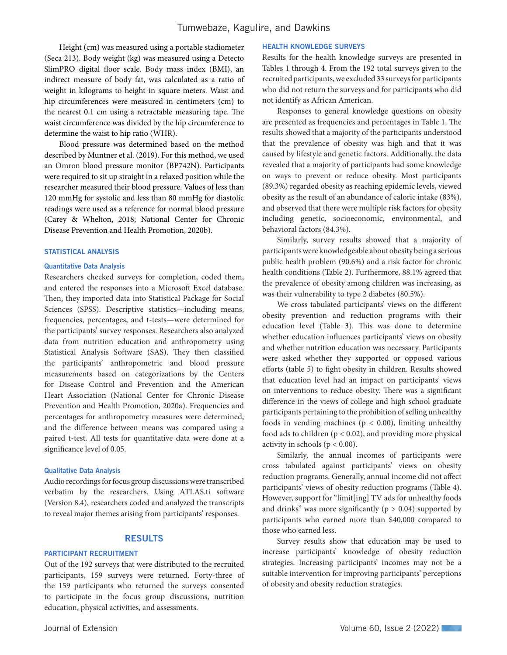Height (cm) was measured using a portable stadiometer (Seca 213). Body weight (kg) was measured using a Detecto SlimPRO digital floor scale. Body mass index (BMI), an indirect measure of body fat, was calculated as a ratio of weight in kilograms to height in square meters. Waist and hip circumferences were measured in centimeters (cm) to the nearest 0.1 cm using a retractable measuring tape. The waist circumference was divided by the hip circumference to determine the waist to hip ratio (WHR).

Blood pressure was determined based on the method described by Muntner et al. (2019). For this method, we used an Omron blood pressure monitor (BP742N). Participants were required to sit up straight in a relaxed position while the researcher measured their blood pressure. Values of less than 120 mmHg for systolic and less than 80 mmHg for diastolic readings were used as a reference for normal blood pressure (Carey & Whelton, 2018; National Center for Chronic Disease Prevention and Health Promotion, 2020b).

#### STATISTICAL ANALYSIS

### Quantitative Data Analysis

Researchers checked surveys for completion, coded them, and entered the responses into a Microsoft Excel database. Then, they imported data into Statistical Package for Social Sciences (SPSS). Descriptive statistics—including means, frequencies, percentages, and t-tests—were determined for the participants' survey responses. Researchers also analyzed data from nutrition education and anthropometry using Statistical Analysis Software (SAS). They then classified the participants' anthropometric and blood pressure measurements based on categorizations by the Centers for Disease Control and Prevention and the American Heart Association (National Center for Chronic Disease Prevention and Health Promotion, 2020a). Frequencies and percentages for anthropometry measures were determined, and the difference between means was compared using a paired t-test. All tests for quantitative data were done at a significance level of 0.05.

#### Qualitative Data Analysis

Audio recordings for focus group discussions were transcribed verbatim by the researchers. Using ATLAS.ti software (Version 8.4), researchers coded and analyzed the transcripts to reveal major themes arising from participants' responses.

### RESULTS

### PARTICIPANT RECRUITMENT

Out of the 192 surveys that were distributed to the recruited participants, 159 surveys were returned. Forty-three of the 159 participants who returned the surveys consented to participate in the focus group discussions, nutrition education, physical activities, and assessments.

### HEALTH KNOWLEDGE SURVEYS

Results for the health knowledge surveys are presented in Tables 1 through 4. From the 192 total surveys given to the recruited participants, we excluded 33 surveys for participants who did not return the surveys and for participants who did not identify as African American.

Responses to general knowledge questions on obesity are presented as frequencies and percentages in Table 1. The results showed that a majority of the participants understood that the prevalence of obesity was high and that it was caused by lifestyle and genetic factors. Additionally, the data revealed that a majority of participants had some knowledge on ways to prevent or reduce obesity. Most participants (89.3%) regarded obesity as reaching epidemic levels, viewed obesity as the result of an abundance of caloric intake (83%), and observed that there were multiple risk factors for obesity including genetic, socioeconomic, environmental, and behavioral factors (84.3%).

Similarly, survey results showed that a majority of participants were knowledgeable about obesity being a serious public health problem (90.6%) and a risk factor for chronic health conditions (Table 2). Furthermore, 88.1% agreed that the prevalence of obesity among children was increasing, as was their vulnerability to type 2 diabetes (80.5%).

We cross tabulated participants' views on the different obesity prevention and reduction programs with their education level (Table 3). This was done to determine whether education influences participants' views on obesity and whether nutrition education was necessary. Participants were asked whether they supported or opposed various efforts (table 5) to fight obesity in children. Results showed that education level had an impact on participants' views on interventions to reduce obesity. There was a significant difference in the views of college and high school graduate participants pertaining to the prohibition of selling unhealthy foods in vending machines ( $p < 0.00$ ), limiting unhealthy food ads to children ( $p < 0.02$ ), and providing more physical activity in schools ( $p < 0.00$ ).

Similarly, the annual incomes of participants were cross tabulated against participants' views on obesity reduction programs. Generally, annual income did not affect participants' views of obesity reduction programs (Table 4). However, support for "limit[ing] TV ads for unhealthy foods and drinks" was more significantly ( $p > 0.04$ ) supported by participants who earned more than \$40,000 compared to those who earned less.

Survey results show that education may be used to increase participants' knowledge of obesity reduction strategies. Increasing participants' incomes may not be a suitable intervention for improving participants' perceptions of obesity and obesity reduction strategies.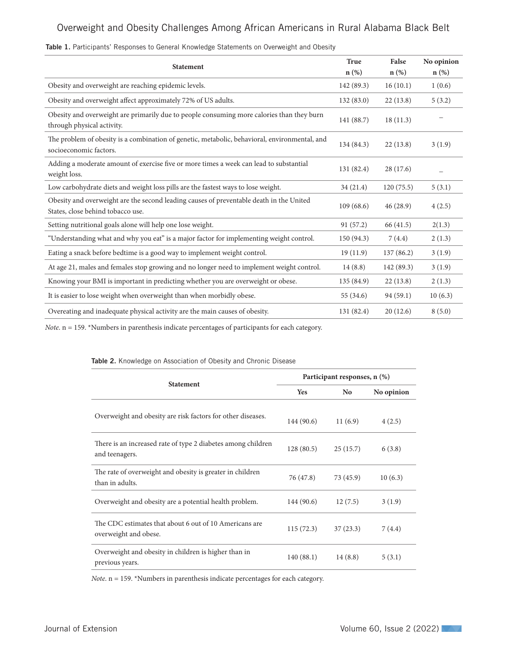| <b>Statement</b>                                                                                                             | <b>True</b><br>$n$ (%) | False<br>$n$ (%) | No opinion<br>$n$ (%) |
|------------------------------------------------------------------------------------------------------------------------------|------------------------|------------------|-----------------------|
| Obesity and overweight are reaching epidemic levels.                                                                         | 142 (89.3)             | 16(10.1)         | 1(0.6)                |
| Obesity and overweight affect approximately 72% of US adults.                                                                | 132(83.0)              | 22(13.8)         | 5(3.2)                |
| Obesity and overweight are primarily due to people consuming more calories than they burn<br>through physical activity.      | 141 (88.7)             | 18(11.3)         |                       |
| The problem of obesity is a combination of genetic, metabolic, behavioral, environmental, and<br>socioeconomic factors.      | 134 (84.3)             | 22(13.8)         | 3(1.9)                |
| Adding a moderate amount of exercise five or more times a week can lead to substantial<br>weight loss.                       | 131 (82.4)             | 28(17.6)         |                       |
| Low carbohydrate diets and weight loss pills are the fastest ways to lose weight.                                            | 34(21.4)               | 120(75.5)        | 5(3.1)                |
| Obesity and overweight are the second leading causes of preventable death in the United<br>States, close behind tobacco use. | 109(68.6)              | 46(28.9)         | 4(2.5)                |
| Setting nutritional goals alone will help one lose weight.                                                                   | 91(57.2)               | 66 (41.5)        | 2(1.3)                |
| "Understanding what and why you eat" is a major factor for implementing weight control.                                      | 150 (94.3)             | 7(4.4)           | 2(1.3)                |
| Eating a snack before bedtime is a good way to implement weight control.                                                     | 19(11.9)               | 137(86.2)        | 3(1.9)                |
| At age 21, males and females stop growing and no longer need to implement weight control.                                    | 14(8.8)                | 142 (89.3)       | 3(1.9)                |
| Knowing your BMI is important in predicting whether you are overweight or obese.                                             | 135 (84.9)             | 22(13.8)         | 2(1.3)                |
| It is easier to lose weight when overweight than when morbidly obese.                                                        | 55(34.6)               | 94(59.1)         | 10(6.3)               |
| Overeating and inadequate physical activity are the main causes of obesity.                                                  | 131 (82.4)             | 20(12.6)         | 8(5.0)                |

### Table 1. Participants' Responses to General Knowledge Statements on Overweight and Obesity

*Note*. n = 159. \*Numbers in parenthesis indicate percentages of participants for each category.

# **Statement Participant responses, n (%) Yes No No opinion** Overweight and obesity are risk factors for other diseases.<br>144 (90.6) 11 (6.9) 4 (2.5) There is an increased rate of type 2 diabetes among children and teenagers.  $6(3.8)$  and teenagers. The rate of overweight and obesity is greater in children than in adults.  $76 (47.8)$  73 (45.9) 10 (6.3) Overweight and obesity are a potential health problem. 144 (90.6) 12 (7.5) 3 (1.9) The CDC estimates that about 6 out of 10 Americans are overweight and obese. 115 (72.3) 37 (23.3) 7 (4.4) Overweight and obesity in children is higher than in previous years.  $140 (88.1)$  14 (8.8) 5 (3.1)

Table 2. Knowledge on Association of Obesity and Chronic Disease

*Note*. n = 159. \*Numbers in parenthesis indicate percentages for each category.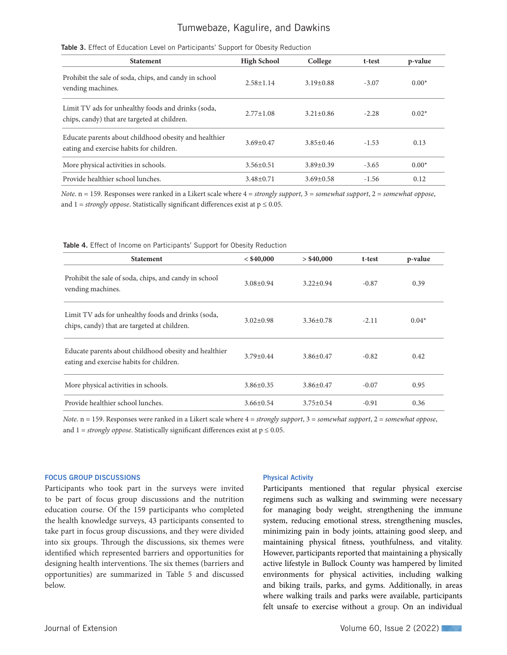### Tumwebaze, Kagulire, and Dawkins

| <b>Statement</b>                                                                                   | <b>High School</b> | College         | t-test  | p-value |
|----------------------------------------------------------------------------------------------------|--------------------|-----------------|---------|---------|
| Prohibit the sale of soda, chips, and candy in school<br>vending machines.                         | $2.58 \pm 1.14$    | $3.19 \pm 0.88$ | $-3.07$ | $0.00*$ |
| Limit TV ads for unhealthy foods and drinks (soda,<br>chips, candy) that are targeted at children. | $2.77 \pm 1.08$    | $3.21 \pm 0.86$ | $-2.28$ | $0.02*$ |
| Educate parents about childhood obesity and healthier<br>eating and exercise habits for children.  | $3.69 \pm 0.47$    | $3.85 \pm 0.46$ | $-1.53$ | 0.13    |
| More physical activities in schools.                                                               | $3.56 \pm 0.51$    | $3.89 \pm 0.39$ | $-3.65$ | $0.00*$ |
| Provide healthier school lunches.                                                                  | $3.48 \pm 0.71$    | $3.69 \pm 0.58$ | $-1.56$ | 0.12    |

### Table 3. Effect of Education Level on Participants' Support for Obesity Reduction

*Note*. n = 159. Responses were ranked in a Likert scale where 4 = *strongly support*, 3 = *somewhat support*, 2 = *somewhat oppose*, and  $1 =$  *strongly oppose*. Statistically significant differences exist at  $p \le 0.05$ .

| <b>Statement</b>                                                                                   | < \$40,000      | $>$ \$40,000    | t-test  | p-value |
|----------------------------------------------------------------------------------------------------|-----------------|-----------------|---------|---------|
| Prohibit the sale of soda, chips, and candy in school<br>vending machines.                         | $3.08 \pm 0.94$ | $3.22 \pm 0.94$ | $-0.87$ | 0.39    |
| Limit TV ads for unhealthy foods and drinks (soda,<br>chips, candy) that are targeted at children. | $3.02 \pm 0.98$ | $3.36 \pm 0.78$ | $-2.11$ | $0.04*$ |
| Educate parents about childhood obesity and healthier<br>eating and exercise habits for children.  | $3.79 \pm 0.44$ | $3.86 \pm 0.47$ | $-0.82$ | 0.42    |
| More physical activities in schools.                                                               | $3.86 \pm 0.35$ | $3.86 \pm 0.47$ | $-0.07$ | 0.95    |
| Provide healthier school lunches.                                                                  | $3.66 \pm 0.54$ | $3.75 \pm 0.54$ | $-0.91$ | 0.36    |

#### Table 4. Effect of Income on Participants' Support for Obesity Reduction

*Note*. n = 159. Responses were ranked in a Likert scale where 4 = *strongly support*, 3 = *somewhat support*, 2 = *somewhat oppose*, and  $1 =$  *strongly oppose*. Statistically significant differences exist at  $p \le 0.05$ .

### FOCUS GROUP DISCUSSIONS

Participants who took part in the surveys were invited to be part of focus group discussions and the nutrition education course. Of the 159 participants who completed the health knowledge surveys, 43 participants consented to take part in focus group discussions, and they were divided into six groups. Through the discussions, six themes were identified which represented barriers and opportunities for designing health interventions. The six themes (barriers and opportunities) are summarized in Table 5 and discussed below.

#### Physical Activity

Participants mentioned that regular physical exercise regimens such as walking and swimming were necessary for managing body weight, strengthening the immune system, reducing emotional stress, strengthening muscles, minimizing pain in body joints, attaining good sleep, and maintaining physical fitness, youthfulness, and vitality. However, participants reported that maintaining a physically active lifestyle in Bullock County was hampered by limited environments for physical activities, including walking and biking trails, parks, and gyms. Additionally, in areas where walking trails and parks were available, participants felt unsafe to exercise without a group. On an individual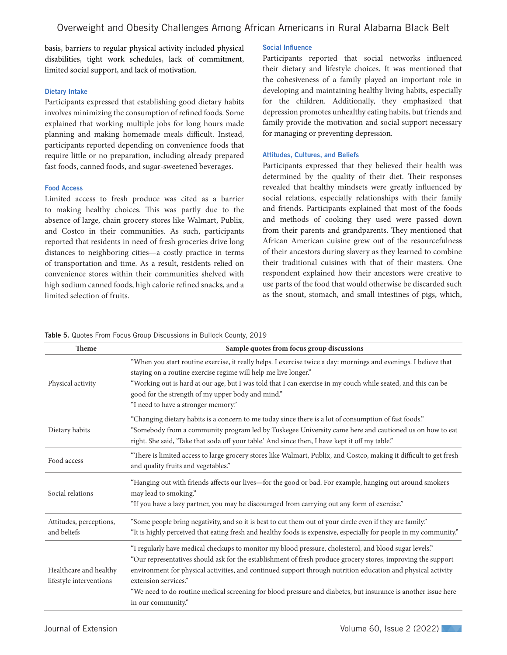basis, barriers to regular physical activity included physical disabilities, tight work schedules, lack of commitment, limited social support, and lack of motivation.

### Dietary Intake

Participants expressed that establishing good dietary habits involves minimizing the consumption of refined foods. Some explained that working multiple jobs for long hours made planning and making homemade meals difficult. Instead, participants reported depending on convenience foods that require little or no preparation, including already prepared fast foods, canned foods, and sugar-sweetened beverages.

### Food Access

Limited access to fresh produce was cited as a barrier to making healthy choices. This was partly due to the absence of large, chain grocery stores like Walmart, Publix, and Costco in their communities. As such, participants reported that residents in need of fresh groceries drive long distances to neighboring cities—a costly practice in terms of transportation and time. As a result, residents relied on convenience stores within their communities shelved with high sodium canned foods, high calorie refined snacks, and a limited selection of fruits.

### Social Influence

Participants reported that social networks influenced their dietary and lifestyle choices. It was mentioned that the cohesiveness of a family played an important role in developing and maintaining healthy living habits, especially for the children. Additionally, they emphasized that depression promotes unhealthy eating habits, but friends and family provide the motivation and social support necessary for managing or preventing depression.

### Attitudes, Cultures, and Beliefs

Participants expressed that they believed their health was determined by the quality of their diet. Their responses revealed that healthy mindsets were greatly influenced by social relations, especially relationships with their family and friends. Participants explained that most of the foods and methods of cooking they used were passed down from their parents and grandparents. They mentioned that African American cuisine grew out of the resourcefulness of their ancestors during slavery as they learned to combine their traditional cuisines with that of their masters. One respondent explained how their ancestors were creative to use parts of the food that would otherwise be discarded such as the snout, stomach, and small intestines of pigs, which,

|  |  |  |  | Table 5. Quotes From Focus Group Discussions in Bullock County, 2019 |  |
|--|--|--|--|----------------------------------------------------------------------|--|
|  |  |  |  |                                                                      |  |

| Theme                                             | Sample quotes from focus group discussions                                                                                                                                                                                                                                                                                                                                                                                                                                                            |
|---------------------------------------------------|-------------------------------------------------------------------------------------------------------------------------------------------------------------------------------------------------------------------------------------------------------------------------------------------------------------------------------------------------------------------------------------------------------------------------------------------------------------------------------------------------------|
| Physical activity                                 | "When you start routine exercise, it really helps. I exercise twice a day: mornings and evenings. I believe that<br>staying on a routine exercise regime will help me live longer."<br>"Working out is hard at our age, but I was told that I can exercise in my couch while seated, and this can be<br>good for the strength of my upper body and mind."<br>"I need to have a stronger memory."                                                                                                      |
| Dietary habits                                    | "Changing dietary habits is a concern to me today since there is a lot of consumption of fast foods."<br>"Somebody from a community program led by Tuskegee University came here and cautioned us on how to eat<br>right. She said, 'Take that soda off your table.' And since then, I have kept it off my table."                                                                                                                                                                                    |
| Food access                                       | "There is limited access to large grocery stores like Walmart, Publix, and Costco, making it difficult to get fresh<br>and quality fruits and vegetables."                                                                                                                                                                                                                                                                                                                                            |
| Social relations                                  | "Hanging out with friends affects our lives—for the good or bad. For example, hanging out around smokers<br>may lead to smoking."<br>"If you have a lazy partner, you may be discouraged from carrying out any form of exercise."                                                                                                                                                                                                                                                                     |
| Attitudes, perceptions,<br>and beliefs            | "Some people bring negativity, and so it is best to cut them out of your circle even if they are family."<br>"It is highly perceived that eating fresh and healthy foods is expensive, especially for people in my community."                                                                                                                                                                                                                                                                        |
| Healthcare and healthy<br>lifestyle interventions | "I regularly have medical checkups to monitor my blood pressure, cholesterol, and blood sugar levels."<br>"Our representatives should ask for the establishment of fresh produce grocery stores, improving the support<br>environment for physical activities, and continued support through nutrition education and physical activity<br>extension services."<br>"We need to do routine medical screening for blood pressure and diabetes, but insurance is another issue here<br>in our community." |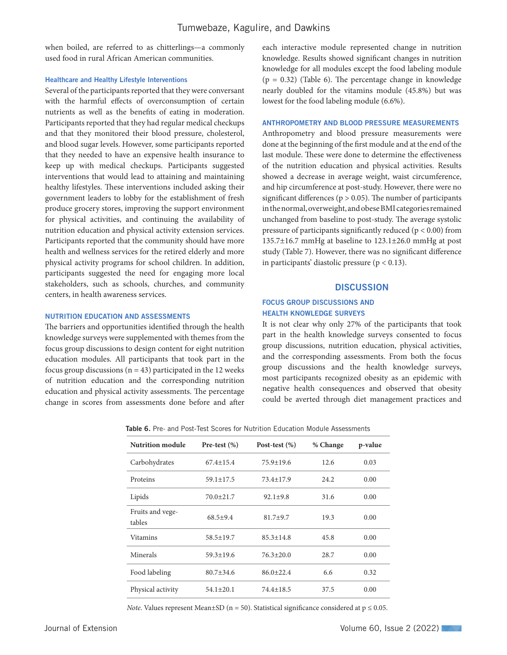when boiled, are referred to as chitterlings—a commonly used food in rural African American communities.

### Healthcare and Healthy Lifestyle Interventions

Several of the participants reported that they were conversant with the harmful effects of overconsumption of certain nutrients as well as the benefits of eating in moderation. Participants reported that they had regular medical checkups and that they monitored their blood pressure, cholesterol, and blood sugar levels. However, some participants reported that they needed to have an expensive health insurance to keep up with medical checkups. Participants suggested interventions that would lead to attaining and maintaining healthy lifestyles. These interventions included asking their government leaders to lobby for the establishment of fresh produce grocery stores, improving the support environment for physical activities, and continuing the availability of nutrition education and physical activity extension services. Participants reported that the community should have more health and wellness services for the retired elderly and more physical activity programs for school children. In addition, participants suggested the need for engaging more local stakeholders, such as schools, churches, and community centers, in health awareness services.

### NUTRITION EDUCATION AND ASSESSMENTS

The barriers and opportunities identified through the health knowledge surveys were supplemented with themes from the focus group discussions to design content for eight nutrition education modules. All participants that took part in the focus group discussions ( $n = 43$ ) participated in the 12 weeks of nutrition education and the corresponding nutrition education and physical activity assessments. The percentage change in scores from assessments done before and after each interactive module represented change in nutrition knowledge. Results showed significant changes in nutrition knowledge for all modules except the food labeling module  $(p = 0.32)$  (Table 6). The percentage change in knowledge nearly doubled for the vitamins module (45.8%) but was lowest for the food labeling module (6.6%).

### ANTHROPOMETRY AND BLOOD PRESSURE MEASUREMENTS

Anthropometry and blood pressure measurements were done at the beginning of the first module and at the end of the last module. These were done to determine the effectiveness of the nutrition education and physical activities. Results showed a decrease in average weight, waist circumference, and hip circumference at post-study. However, there were no significant differences ( $p > 0.05$ ). The number of participants in the normal, overweight, and obese BMI categories remained unchanged from baseline to post-study. The average systolic pressure of participants significantly reduced ( $p < 0.00$ ) from 135.7±16.7 mmHg at baseline to 123.1±26.0 mmHg at post study (Table 7). However, there was no significant difference in participants' diastolic pressure ( $p < 0.13$ ).

### **DISCUSSION**

### FOCUS GROUP DISCUSSIONS AND HEALTH KNOWLEDGE SURVEYS

It is not clear why only 27% of the participants that took part in the health knowledge surveys consented to focus group discussions, nutrition education, physical activities, and the corresponding assessments. From both the focus group discussions and the health knowledge surveys, most participants recognized obesity as an epidemic with negative health consequences and observed that obesity could be averted through diet management practices and

Table 6. Pre- and Post-Test Scores for Nutrition Education Module Assessments

| <b>Nutrition module</b>    | Pre-test $(\%)$ | Post-test $(\%)$ | % Change | p-value |
|----------------------------|-----------------|------------------|----------|---------|
| Carbohydrates              | $67.4 \pm 15.4$ | $75.9 \pm 19.6$  | 12.6     | 0.03    |
| Proteins                   | $59.1 \pm 17.5$ | $73.4 \pm 17.9$  | 24.2     | 0.00    |
| Lipids                     | $70.0 \pm 21.7$ | $92.1 \pm 9.8$   | 31.6     | 0.00    |
| Fruits and vege-<br>tables | $68.5+9.4$      | $81.7 + 9.7$     | 19.3     | 0.00    |
| Vitamins                   | $58.5 \pm 19.7$ | $85.3 \pm 14.8$  | 45.8     | 0.00    |
| Minerals                   | $59.3 \pm 19.6$ | $76.3 \pm 20.0$  | 28.7     | 0.00    |
| Food labeling              | $80.7 + 34.6$   | $86.0 \pm 22.4$  | 6.6      | 0.32    |
| Physical activity          | $54.1 \pm 20.1$ | $74.4 \pm 18.5$  | 37.5     | 0.00    |

*Note*. Values represent Mean±SD (n = 50). Statistical significance considered at  $p \le 0.05$ .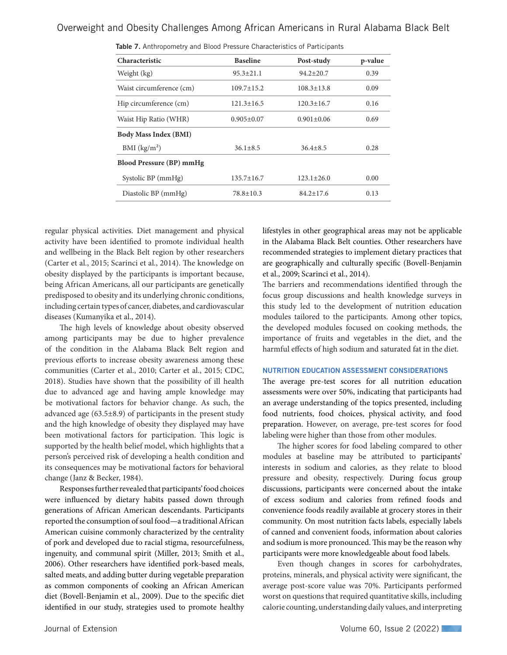| Characteristic                  | <b>Baseline</b>                      | Post-study       | p-value |
|---------------------------------|--------------------------------------|------------------|---------|
| Weight (kg)                     | $95.3 \pm 21.1$                      | $94.2 \pm 20.7$  | 0.39    |
| Waist circumference (cm)        | $109.7 \pm 15.2$                     | $108.3 \pm 13.8$ | 0.09    |
| Hip circumference (cm)          | $121.3 \pm 16.5$                     | $120.3 \pm 16.7$ | 0.16    |
| Waist Hip Ratio (WHR)           | $0.905 \pm 0.07$<br>$0.901 \pm 0.06$ |                  | 0.69    |
| <b>Body Mass Index (BMI)</b>    |                                      |                  |         |
| BMI (kg/m <sup>2</sup> )        | $36.1 \pm 8.5$                       | $36.4 \pm 8.5$   | 0.28    |
| <b>Blood Pressure (BP) mmHg</b> |                                      |                  |         |
| Systolic BP (mmHg)              | $135.7 \pm 16.7$                     | $123.1 \pm 26.0$ | 0.00    |
| Diastolic BP (mmHg)             | $78.8 \pm 10.3$                      | $84.2 \pm 17.6$  | 0.13    |
|                                 |                                      |                  |         |

|  | Table 7. Anthropometry and Blood Pressure Characteristics of Participants |  |  |  |  |  |
|--|---------------------------------------------------------------------------|--|--|--|--|--|
|--|---------------------------------------------------------------------------|--|--|--|--|--|

regular physical activities. Diet management and physical activity have been identified to promote individual health and wellbeing in the Black Belt region by other researchers (Carter et al., 2015; Scarinci et al., 2014). The knowledge on obesity displayed by the participants is important because, being African Americans, all our participants are genetically predisposed to obesity and its underlying chronic conditions, including certain types of cancer, diabetes, and cardiovascular diseases (Kumanyika et al., 2014).

The high levels of knowledge about obesity observed among participants may be due to higher prevalence of the condition in the Alabama Black Belt region and previous efforts to increase obesity awareness among these communities (Carter et al., 2010; Carter et al., 2015; CDC, 2018). Studies have shown that the possibility of ill health due to advanced age and having ample knowledge may be motivational factors for behavior change. As such, the advanced age (63.5±8.9) of participants in the present study and the high knowledge of obesity they displayed may have been motivational factors for participation. This logic is supported by the health belief model, which highlights that a person's perceived risk of developing a health condition and its consequences may be motivational factors for behavioral change (Janz & Becker, 1984).

Responses further revealed that participants' food choices were influenced by dietary habits passed down through generations of African American descendants. Participants reported the consumption of soul food—a traditional African American cuisine commonly characterized by the centrality of pork and developed due to racial stigma, resourcefulness, ingenuity, and communal spirit (Miller, 2013; Smith et al., 2006). Other researchers have identified pork-based meals, salted meats, and adding butter during vegetable preparation as common components of cooking an African American diet (Bovell-Benjamin et al., 2009). Due to the specific diet identified in our study, strategies used to promote healthy

lifestyles in other geographical areas may not be applicable in the Alabama Black Belt counties. Other researchers have recommended strategies to implement dietary practices that are geographically and culturally specific (Bovell-Benjamin et al., 2009; Scarinci et al., 2014).

The barriers and recommendations identified through the focus group discussions and health knowledge surveys in this study led to the development of nutrition education modules tailored to the participants. Among other topics, the developed modules focused on cooking methods, the importance of fruits and vegetables in the diet, and the harmful effects of high sodium and saturated fat in the diet.

### NUTRITION EDUCATION ASSESSMENT CONSIDERATIONS

The average pre-test scores for all nutrition education assessments were over 50%, indicating that participants had an average understanding of the topics presented, including food nutrients, food choices, physical activity, and food preparation. However, on average, pre-test scores for food labeling were higher than those from other modules.

The higher scores for food labeling compared to other modules at baseline may be attributed to participants' interests in sodium and calories, as they relate to blood pressure and obesity, respectively. During focus group discussions, participants were concerned about the intake of excess sodium and calories from refined foods and convenience foods readily available at grocery stores in their community. On most nutrition facts labels, especially labels of canned and convenient foods, information about calories and sodium is more pronounced. This may be the reason why participants were more knowledgeable about food labels.

Even though changes in scores for carbohydrates, proteins, minerals, and physical activity were significant, the average post-score value was 70%. Participants performed worst on questions that required quantitative skills, including calorie counting, understanding daily values, and interpreting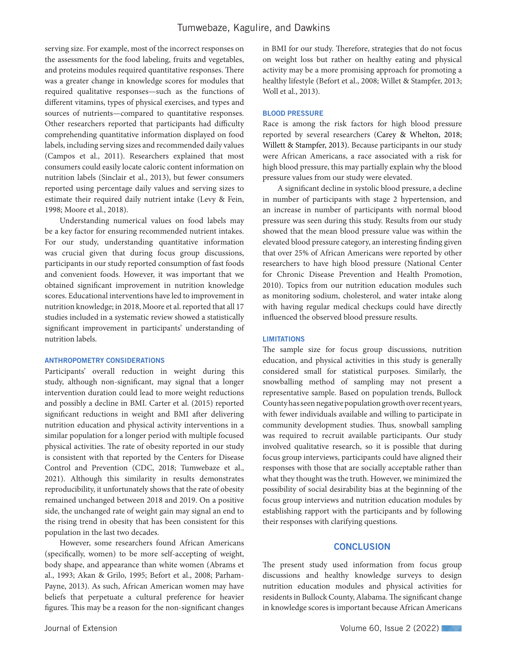serving size. For example, most of the incorrect responses on the assessments for the food labeling, fruits and vegetables, and proteins modules required quantitative responses. There was a greater change in knowledge scores for modules that required qualitative responses—such as the functions of different vitamins, types of physical exercises, and types and sources of nutrients—compared to quantitative responses. Other researchers reported that participants had difficulty comprehending quantitative information displayed on food labels, including serving sizes and recommended daily values (Campos et al., 2011). Researchers explained that most consumers could easily locate caloric content information on nutrition labels (Sinclair et al., 2013), but fewer consumers reported using percentage daily values and serving sizes to estimate their required daily nutrient intake (Levy & Fein, 1998; Moore et al., 2018).

Understanding numerical values on food labels may be a key factor for ensuring recommended nutrient intakes. For our study, understanding quantitative information was crucial given that during focus group discussions, participants in our study reported consumption of fast foods and convenient foods. However, it was important that we obtained significant improvement in nutrition knowledge scores. Educational interventions have led to improvement in nutrition knowledge; in 2018, Moore et al. reported that all 17 studies included in a systematic review showed a statistically significant improvement in participants' understanding of nutrition labels.

#### ANTHROPOMETRY CONSIDERATIONS

Participants' overall reduction in weight during this study, although non-significant, may signal that a longer intervention duration could lead to more weight reductions and possibly a decline in BMI. Carter et al. (2015) reported significant reductions in weight and BMI after delivering nutrition education and physical activity interventions in a similar population for a longer period with multiple focused physical activities. The rate of obesity reported in our study is consistent with that reported by the Centers for Disease Control and Prevention (CDC, 2018; Tumwebaze et al., 2021). Although this similarity in results demonstrates reproducibility, it unfortunately shows that the rate of obesity remained unchanged between 2018 and 2019. On a positive side, the unchanged rate of weight gain may signal an end to the rising trend in obesity that has been consistent for this population in the last two decades.

However, some researchers found African Americans (specifically, women) to be more self-accepting of weight, body shape, and appearance than white women (Abrams et al., 1993; Akan & Grilo, 1995; Befort et al., 2008; Parham-Payne, 2013). As such, African American women may have beliefs that perpetuate a cultural preference for heavier figures. This may be a reason for the non-significant changes in BMI for our study. Therefore, strategies that do not focus on weight loss but rather on healthy eating and physical activity may be a more promising approach for promoting a healthy lifestyle (Befort et al., 2008; Willet & Stampfer, 2013; Woll et al., 2013).

### BLOOD PRESSURE

Race is among the risk factors for high blood pressure reported by several researchers (Carey & Whelton, 2018; Willett & Stampfer, 2013). Because participants in our study were African Americans, a race associated with a risk for high blood pressure, this may partially explain why the blood pressure values from our study were elevated.

A significant decline in systolic blood pressure, a decline in number of participants with stage 2 hypertension, and an increase in number of participants with normal blood pressure was seen during this study. Results from our study showed that the mean blood pressure value was within the elevated blood pressure category, an interesting finding given that over 25% of African Americans were reported by other researchers to have high blood pressure (National Center for Chronic Disease Prevention and Health Promotion, 2010). Topics from our nutrition education modules such as monitoring sodium, cholesterol, and water intake along with having regular medical checkups could have directly influenced the observed blood pressure results.

### LIMITATIONS

The sample size for focus group discussions, nutrition education, and physical activities in this study is generally considered small for statistical purposes. Similarly, the snowballing method of sampling may not present a representative sample. Based on population trends, Bullock County has seen negative population growth over recent years, with fewer individuals available and willing to participate in community development studies. Thus, snowball sampling was required to recruit available participants. Our study involved qualitative research, so it is possible that during focus group interviews, participants could have aligned their responses with those that are socially acceptable rather than what they thought was the truth. However, we minimized the possibility of social desirability bias at the beginning of the focus group interviews and nutrition education modules by establishing rapport with the participants and by following their responses with clarifying questions.

### **CONCLUSION**

The present study used information from focus group discussions and healthy knowledge surveys to design nutrition education modules and physical activities for residents in Bullock County, Alabama. The significant change in knowledge scores is important because African Americans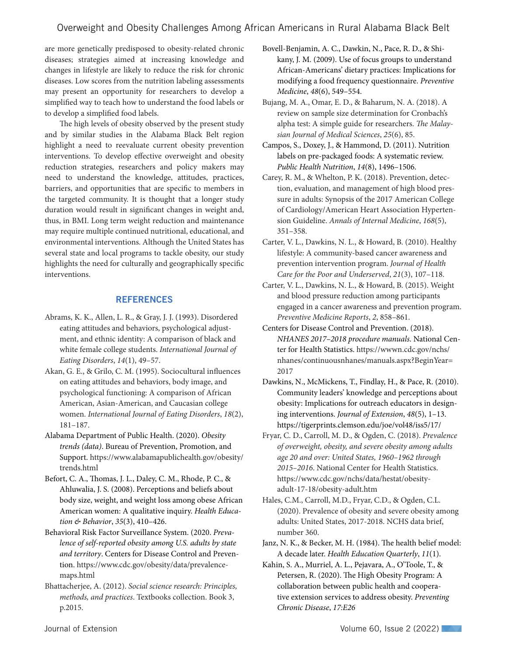are more genetically predisposed to obesity-related chronic diseases; strategies aimed at increasing knowledge and changes in lifestyle are likely to reduce the risk for chronic diseases. Low scores from the nutrition labeling assessments may present an opportunity for researchers to develop a simplified way to teach how to understand the food labels or to develop a simplified food labels.

The high levels of obesity observed by the present study and by similar studies in the Alabama Black Belt region highlight a need to reevaluate current obesity prevention interventions. To develop effective overweight and obesity reduction strategies, researchers and policy makers may need to understand the knowledge, attitudes, practices, barriers, and opportunities that are specific to members in the targeted community. It is thought that a longer study duration would result in significant changes in weight and, thus, in BMI. Long term weight reduction and maintenance may require multiple continued nutritional, educational, and environmental interventions. Although the United States has several state and local programs to tackle obesity, our study highlights the need for culturally and geographically specific interventions.

### **REFERENCES**

- Abrams, K. K., Allen, L. R., & Gray, J. J. (1993). Disordered eating attitudes and behaviors, psychological adjustment, and ethnic identity: A comparison of black and white female college students. *International Journal of Eating Disorders*, *14*(1), 49–57.
- Akan, G. E., & Grilo, C. M. (1995). Sociocultural influences on eating attitudes and behaviors, body image, and psychological functioning: A comparison of African American, Asian‐American, and Caucasian college women. *International Journal of Eating Disorders*, *18*(2), 181–187.
- Alabama Department of Public Health. (2020). *Obesity trends (data)*. Bureau of Prevention, Promotion, and Support. https://www.alabamapublichealth.gov/obesity/ trends.html

Befort, C. A., Thomas, J. L., Daley, C. M., Rhode, P. C., & Ahluwalia, J. S. (2008). Perceptions and beliefs about body size, weight, and weight loss among obese African American women: A qualitative inquiry. *Health Education & Behavior*, *35*(3), 410–426.

Behavioral Risk Factor Surveillance System. (2020. *Prevalence of self-reported obesity among U.S. adults by state and territory*. Centers for Disease Control and Prevention. https://www.cdc.gov/obesity/data/prevalencemaps.html

Bhattacherjee, A. (2012). *Social science research: Principles, methods, and practices*. Textbooks collection. Book 3, p.2015.

- Bovell-Benjamin, A. C., Dawkin, N., Pace, R. D., & Shikany, J. M. (2009). Use of focus groups to understand African-Americans' dietary practices: Implications for modifying a food frequency questionnaire. *Preventive Medicine*, *48*(6), 549–554.
- Bujang, M. A., Omar, E. D., & Baharum, N. A. (2018). A review on sample size determination for Cronbach's alpha test: A simple guide for researchers. *The Malaysian Journal of Medical Sciences*, *25*(6), 85.
- Campos, S., Doxey, J., & Hammond, D. (2011). Nutrition labels on pre-packaged foods: A systematic review. *Public Health Nutrition*, *14*(8), 1496–1506.
- Carey, R. M., & Whelton, P. K. (2018). Prevention, detection, evaluation, and management of high blood pressure in adults: Synopsis of the 2017 American College of Cardiology/American Heart Association Hypertension Guideline. *Annals of Internal Medicine*, *168*(5), 351–358.
- Carter, V. L., Dawkins, N. L., & Howard, B. (2010). Healthy lifestyle: A community-based cancer awareness and prevention intervention program. *Journal of Health Care for the Poor and Underserved*, *21*(3), 107–118.
- Carter, V. L., Dawkins, N. L., & Howard, B. (2015). Weight and blood pressure reduction among participants engaged in a cancer awareness and prevention program. *Preventive Medicine Reports*, *2*, 858–861.
- Centers for Disease Control and Prevention. (2018). *NHANES 2017–2018 procedure manuals*. National Center for Health Statistics. https://wwwn.cdc.gov/nchs/ nhanes/continuousnhanes/manuals.aspx?BeginYear= 2017
- Dawkins, N., McMickens, T., Findlay, H., & Pace, R. (2010). Community leaders' knowledge and perceptions about obesity: Implications for outreach educators in designing interventions. *Journal of Extension*, *48*(5), 1–13. https://tigerprints.clemson.edu/joe/vol48/iss5/17/
- Fryar, C. D., Carroll, M. D., & Ogden, C. (2018). *Prevalence of overweight, obesity, and severe obesity among adults age 20 and over: United States, 1960–1962 through 2015–2016*. National Center for Health Statistics. https://www.cdc.gov/nchs/data/hestat/obesityadult-17-18/obesity-adult.htm
- Hales, C.M., Carroll, M.D., Fryar, C.D., & Ogden, C.L. (2020). Prevalence of obesity and severe obesity among adults: United States, 2017-2018. NCHS data brief, number 360.
- Janz, N. K., & Becker, M. H. (1984). The health belief model: A decade later. *Health Education Quarterly*, *11*(1).
- Kahin, S. A., Murriel, A. L., Pejavara, A., O'Toole, T., & Petersen, R. (2020). The High Obesity Program: A collaboration between public health and cooperative extension services to address obesity. *Preventing Chronic Disease*, *17:E26*